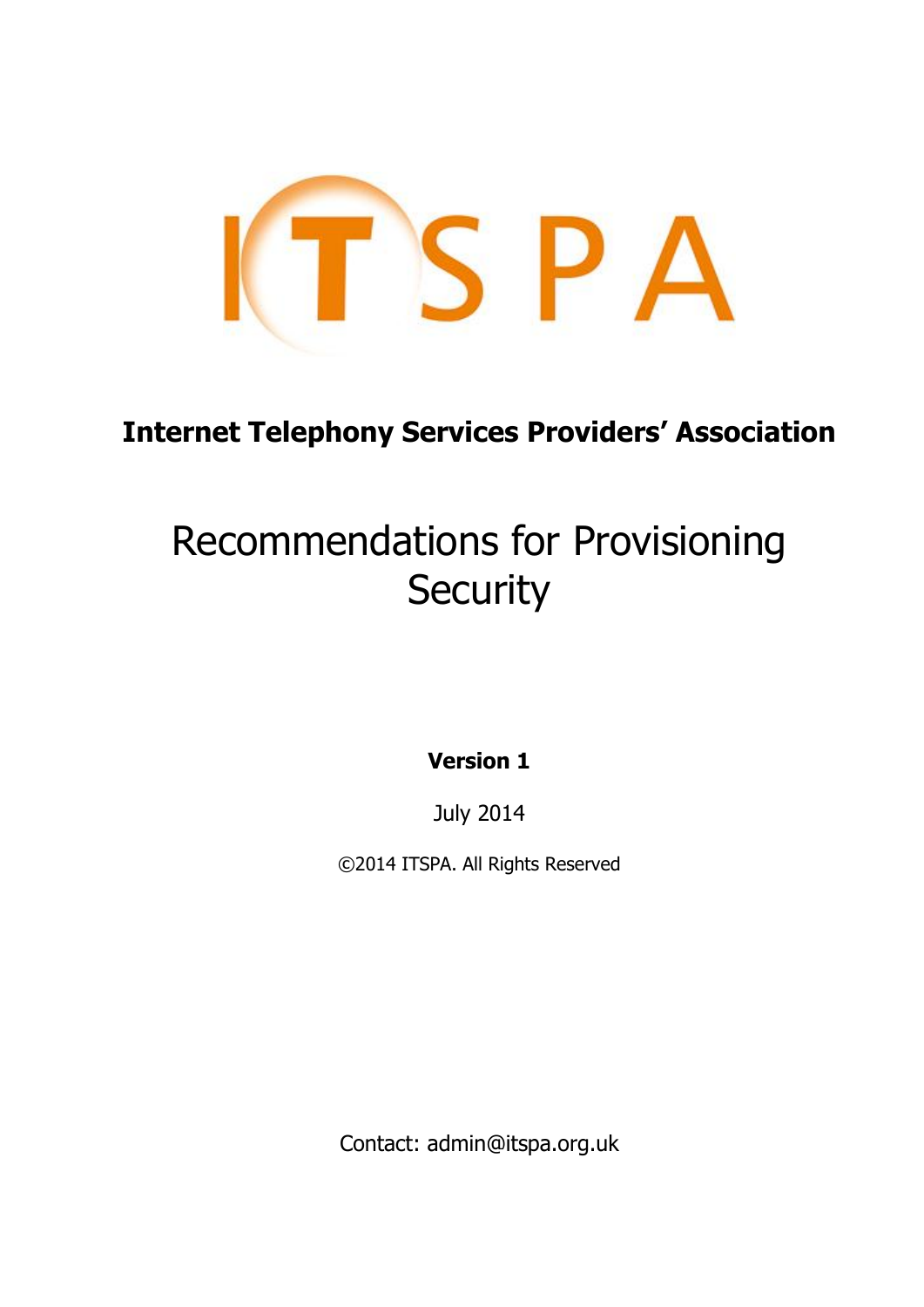

# **Internet Telephony Services Providers' Association**

# Recommendations for Provisioning **Security**

**Version 1**

July 2014

©2014 ITSPA. All Rights Reserved

Contact: admin@itspa.org.uk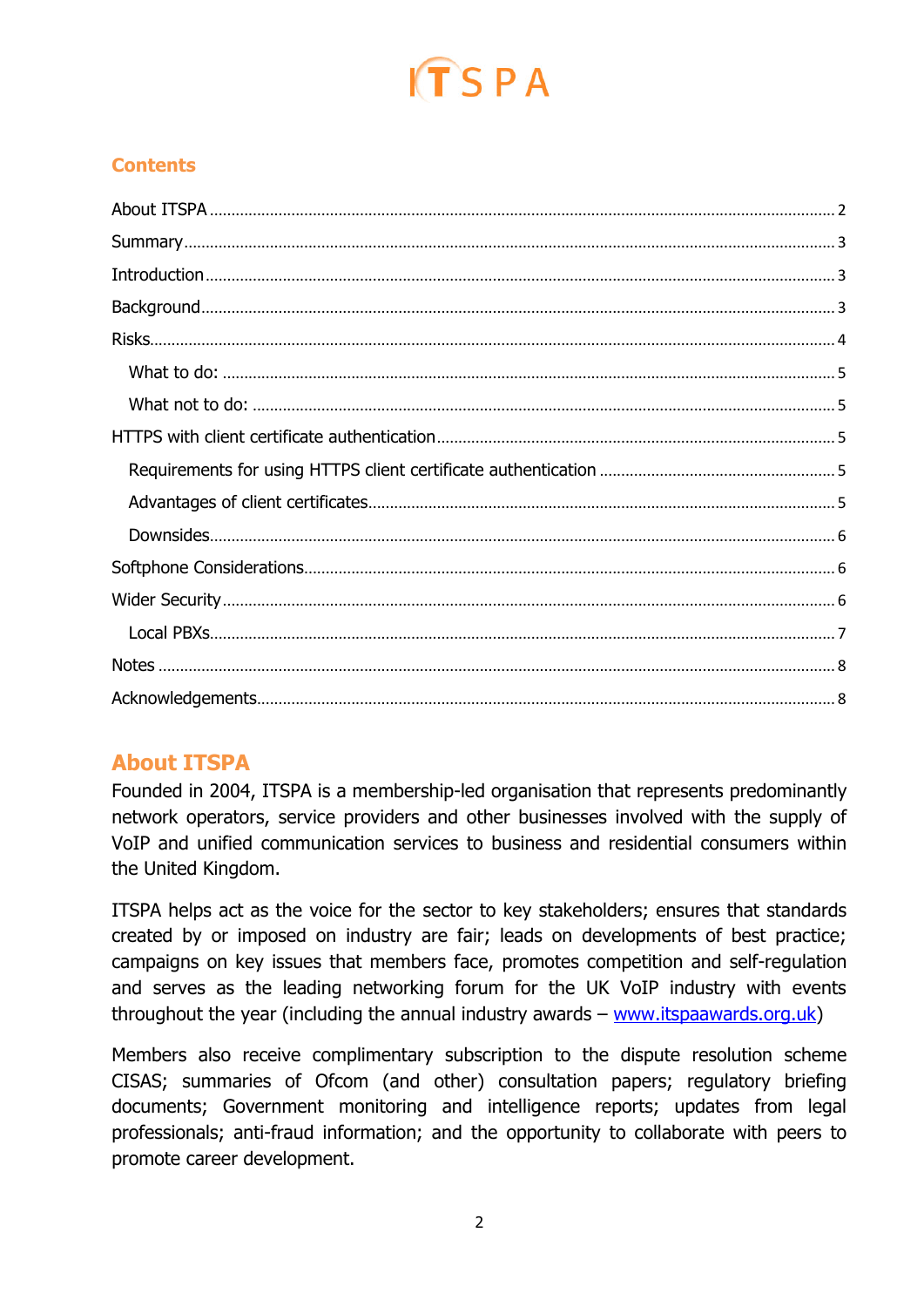

# **Contents**

# <span id="page-1-0"></span>**About ITSPA**

Founded in 2004, ITSPA is a membership-led organisation that represents predominantly network operators, service providers and other businesses involved with the supply of VoIP and unified communication services to business and residential consumers within the United Kingdom.

ITSPA helps act as the voice for the sector to key stakeholders; ensures that standards created by or imposed on industry are fair; leads on developments of best practice; campaigns on key issues that members face, promotes competition and self-regulation and serves as the leading networking forum for the UK VoIP industry with events throughout the year (including the annual industry awards – [www.itspaawards.org.uk\)](http://www.itspaawards.org.uk/)

Members also receive complimentary subscription to the dispute resolution scheme CISAS; summaries of Ofcom (and other) consultation papers; regulatory briefing documents; Government monitoring and intelligence reports; updates from legal professionals; anti-fraud information; and the opportunity to collaborate with peers to promote career development.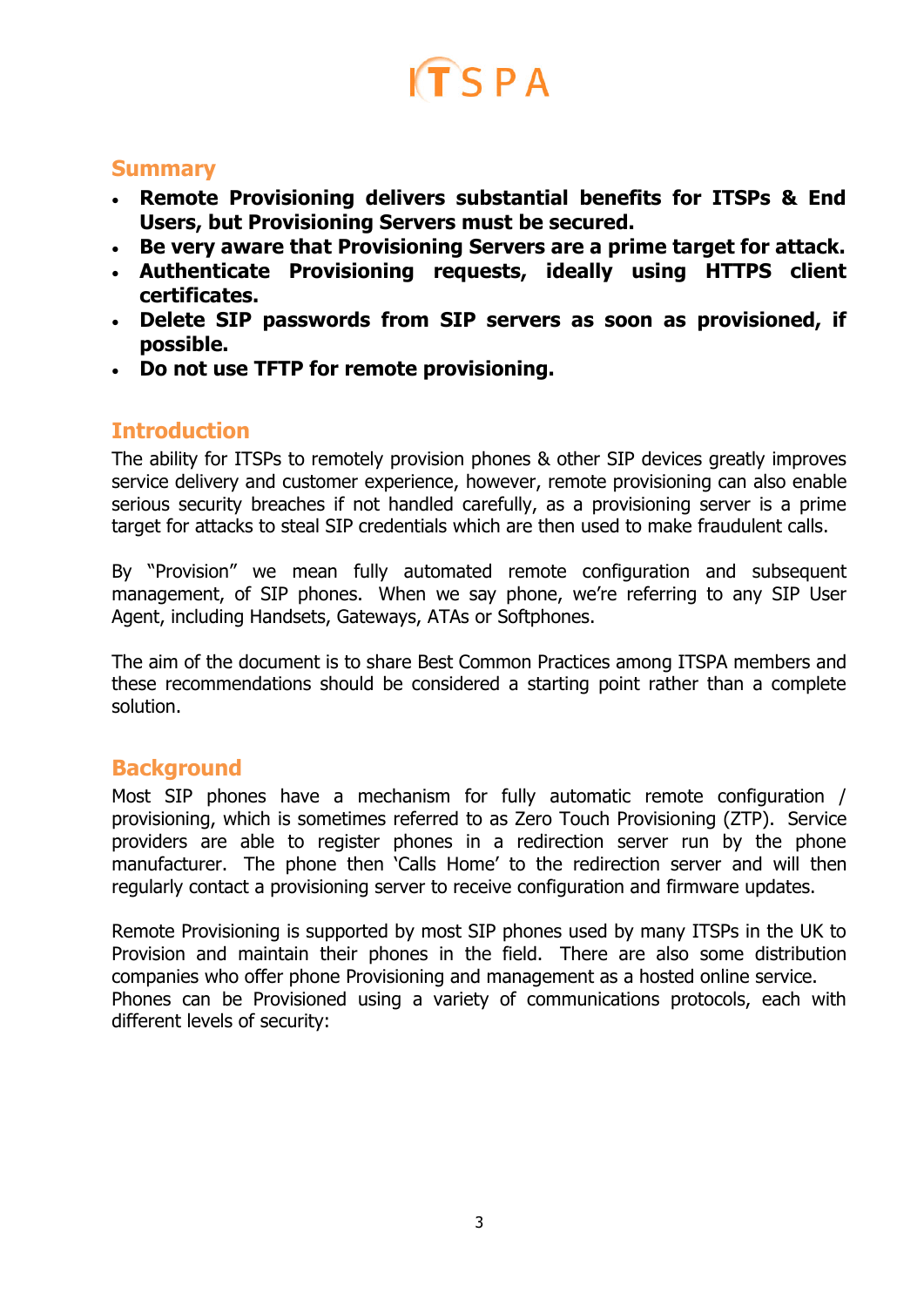# $ITSPA$

### <span id="page-2-0"></span>**Summary**

- **Remote Provisioning delivers substantial benefits for ITSPs & End Users, but Provisioning Servers must be secured.**
- **Be very aware that Provisioning Servers are a prime target for attack.**
- **Authenticate Provisioning requests, ideally using HTTPS client certificates.**
- **Delete SIP passwords from SIP servers as soon as provisioned, if possible.**
- <span id="page-2-1"></span>**Do not use TFTP for remote provisioning.**

# **Introduction**

The ability for ITSPs to remotely provision phones & other SIP devices greatly improves service delivery and customer experience, however, remote provisioning can also enable serious security breaches if not handled carefully, as a provisioning server is a prime target for attacks to steal SIP credentials which are then used to make fraudulent calls.

By "Provision" we mean fully automated remote configuration and subsequent management, of SIP phones. When we say phone, we're referring to any SIP User Agent, including Handsets, Gateways, ATAs or Softphones.

The aim of the document is to share Best Common Practices among ITSPA members and these recommendations should be considered a starting point rather than a complete solution.

# <span id="page-2-2"></span>**Background**

Most SIP phones have a mechanism for fully automatic remote configuration / provisioning, which is sometimes referred to as Zero Touch Provisioning (ZTP). Service providers are able to register phones in a redirection server run by the phone manufacturer. The phone then 'Calls Home' to the redirection server and will then regularly contact a provisioning server to receive configuration and firmware updates.

Remote Provisioning is supported by most SIP phones used by many ITSPs in the UK to Provision and maintain their phones in the field. There are also some distribution companies who offer phone Provisioning and management as a hosted online service. Phones can be Provisioned using a variety of communications protocols, each with different levels of security: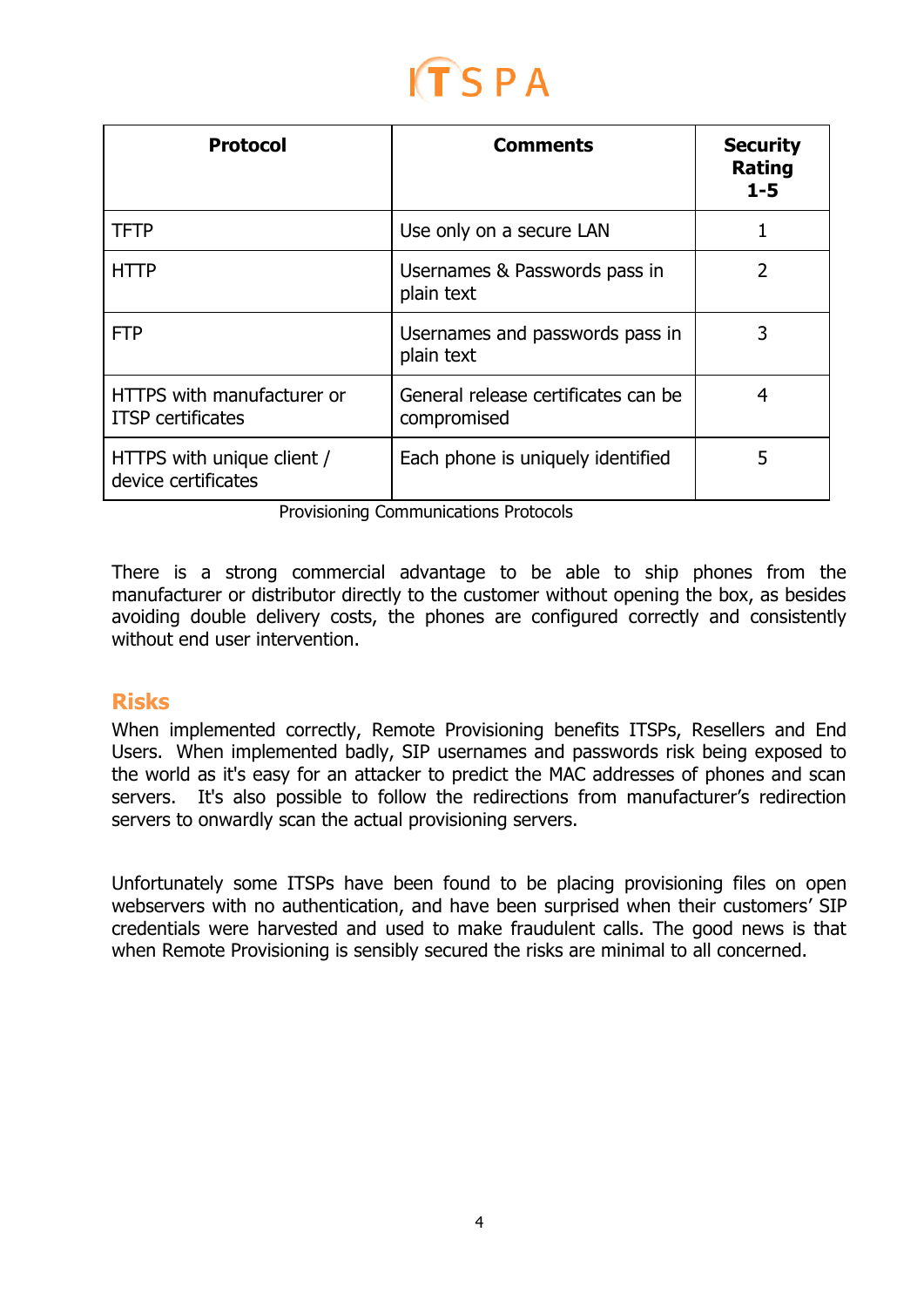# TSPA

| <b>Protocol</b>                                        | <b>Comments</b>                                    | <b>Security</b><br><b>Rating</b><br>$1 - 5$ |
|--------------------------------------------------------|----------------------------------------------------|---------------------------------------------|
| <b>TFTP</b>                                            | Use only on a secure LAN                           |                                             |
| <b>HTTP</b>                                            | Usernames & Passwords pass in<br>plain text        | 2                                           |
| <b>FTP</b>                                             | Usernames and passwords pass in<br>plain text      | 3                                           |
| HTTPS with manufacturer or<br><b>ITSP</b> certificates | General release certificates can be<br>compromised | 4                                           |
| HTTPS with unique client /<br>device certificates      | Each phone is uniquely identified                  | 5                                           |

Provisioning Communications Protocols

There is a strong commercial advantage to be able to ship phones from the manufacturer or distributor directly to the customer without opening the box, as besides avoiding double delivery costs, the phones are configured correctly and consistently without end user intervention.

# <span id="page-3-0"></span>**Risks**

When implemented correctly, Remote Provisioning benefits ITSPs, Resellers and End Users. When implemented badly, SIP usernames and passwords risk being exposed to the world as it's easy for an attacker to predict the MAC addresses of phones and scan servers. It's also possible to follow the redirections from manufacturer's redirection servers to onwardly scan the actual provisioning servers.

Unfortunately some ITSPs have been found to be placing provisioning files on open webservers with no authentication, and have been surprised when their customers' SIP credentials were harvested and used to make fraudulent calls. The good news is that when Remote Provisioning is sensibly secured the risks are minimal to all concerned.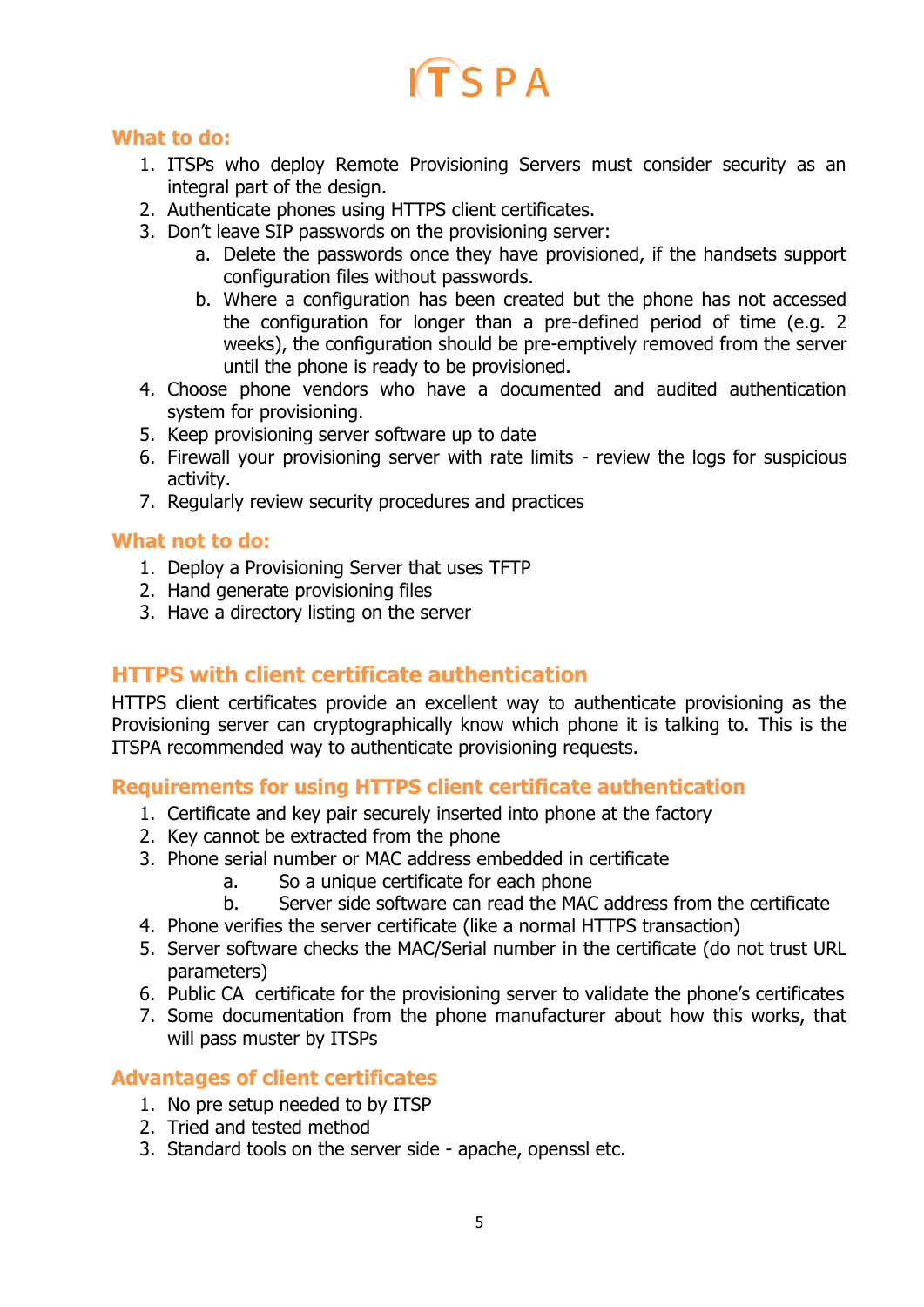# $TSPA$

#### <span id="page-4-0"></span>**What to do:**

- 1. ITSPs who deploy Remote Provisioning Servers must consider security as an integral part of the design.
- 2. Authenticate phones using HTTPS client certificates.
- 3. Don't leave SIP passwords on the provisioning server:
	- a. Delete the passwords once they have provisioned, if the handsets support configuration files without passwords.
	- b. Where a configuration has been created but the phone has not accessed the configuration for longer than a pre-defined period of time (e.g. 2 weeks), the configuration should be pre-emptively removed from the server until the phone is ready to be provisioned.
- 4. Choose phone vendors who have a documented and audited authentication system for provisioning.
- 5. Keep provisioning server software up to date
- 6. Firewall your provisioning server with rate limits review the logs for suspicious activity.
- 7. Regularly review security procedures and practices

#### <span id="page-4-1"></span>**What not to do:**

- 1. Deploy a Provisioning Server that uses TFTP
- 2. Hand generate provisioning files
- <span id="page-4-2"></span>3. Have a directory listing on the server

### **HTTPS with client certificate authentication**

HTTPS client certificates provide an excellent way to authenticate provisioning as the Provisioning server can cryptographically know which phone it is talking to. This is the ITSPA recommended way to authenticate provisioning requests.

<span id="page-4-3"></span>**Requirements for using HTTPS client certificate authentication**

- 1. Certificate and key pair securely inserted into phone at the factory
- 2. Key cannot be extracted from the phone
- 3. Phone serial number or MAC address embedded in certificate
	- a. So a unique certificate for each phone
	- b. Server side software can read the MAC address from the certificate
- 4. Phone verifies the server certificate (like a normal HTTPS transaction)
- 5. Server software checks the MAC/Serial number in the certificate (do not trust URL parameters)
- 6. Public CA certificate for the provisioning server to validate the phone's certificates
- 7. Some documentation from the phone manufacturer about how this works, that will pass muster by ITSPs

### <span id="page-4-4"></span>**Advantages of client certificates**

- 1. No pre setup needed to by ITSP
- 2. Tried and tested method
- 3. Standard tools on the server side apache, openssl etc.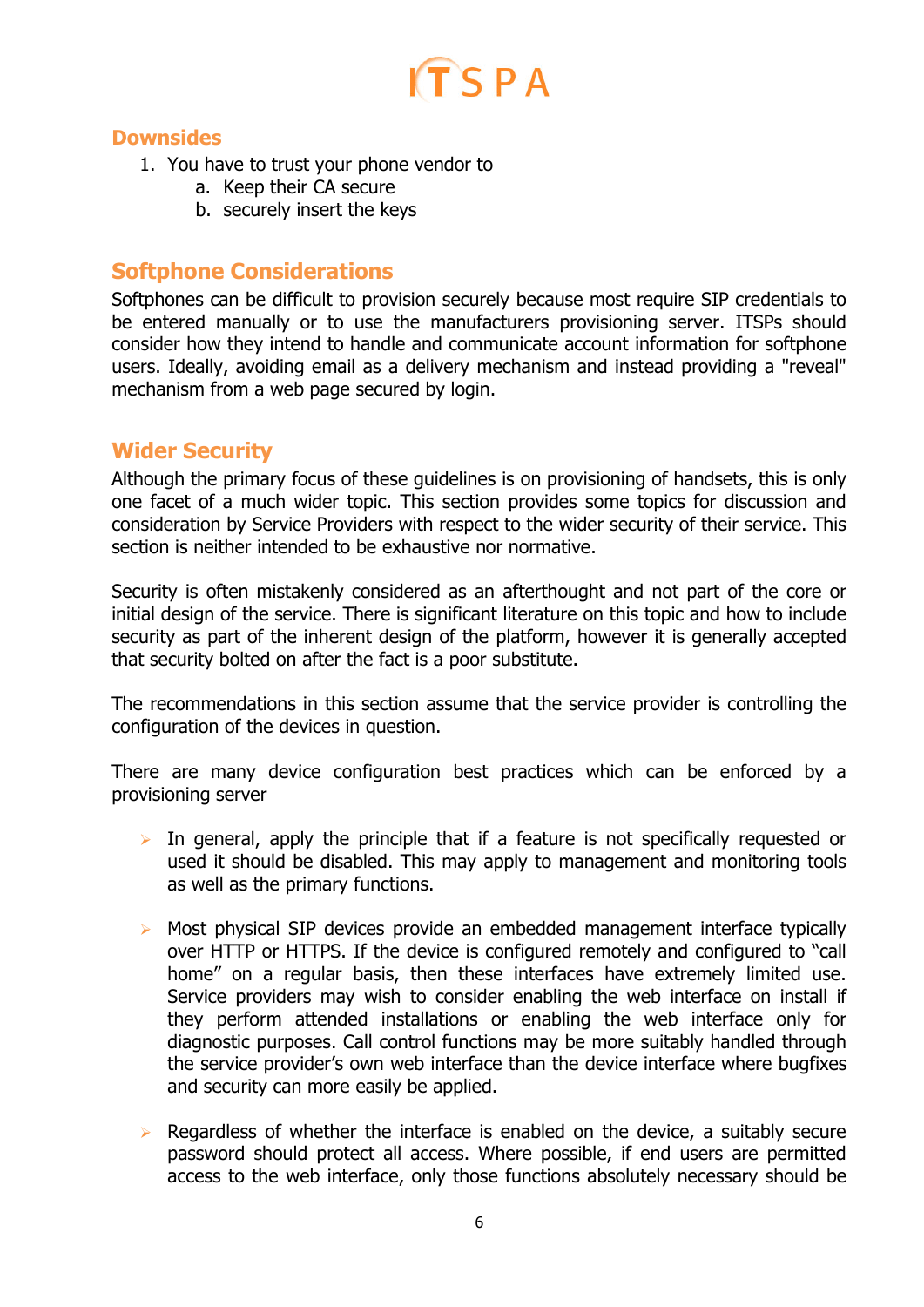

#### <span id="page-5-0"></span>**Downsides**

- 1. You have to trust your phone vendor to
	- a. Keep their CA secure
	- b. securely insert the keys

### <span id="page-5-1"></span>**Softphone Considerations**

Softphones can be difficult to provision securely because most require SIP credentials to be entered manually or to use the manufacturers provisioning server. ITSPs should consider how they intend to handle and communicate account information for softphone users. Ideally, avoiding email as a delivery mechanism and instead providing a "reveal" mechanism from a web page secured by login.

### <span id="page-5-2"></span>**Wider Security**

Although the primary focus of these guidelines is on provisioning of handsets, this is only one facet of a much wider topic. This section provides some topics for discussion and consideration by Service Providers with respect to the wider security of their service. This section is neither intended to be exhaustive nor normative.

Security is often mistakenly considered as an afterthought and not part of the core or initial design of the service. There is significant literature on this topic and how to include security as part of the inherent design of the platform, however it is generally accepted that security bolted on after the fact is a poor substitute.

The recommendations in this section assume that the service provider is controlling the configuration of the devices in question.

There are many device configuration best practices which can be enforced by a provisioning server

- $\triangleright$  In general, apply the principle that if a feature is not specifically requested or used it should be disabled. This may apply to management and monitoring tools as well as the primary functions.
- $\triangleright$  Most physical SIP devices provide an embedded management interface typically over HTTP or HTTPS. If the device is configured remotely and configured to "call home" on a regular basis, then these interfaces have extremely limited use. Service providers may wish to consider enabling the web interface on install if they perform attended installations or enabling the web interface only for diagnostic purposes. Call control functions may be more suitably handled through the service provider's own web interface than the device interface where bugfixes and security can more easily be applied.
- $\triangleright$  Regardless of whether the interface is enabled on the device, a suitably secure password should protect all access. Where possible, if end users are permitted access to the web interface, only those functions absolutely necessary should be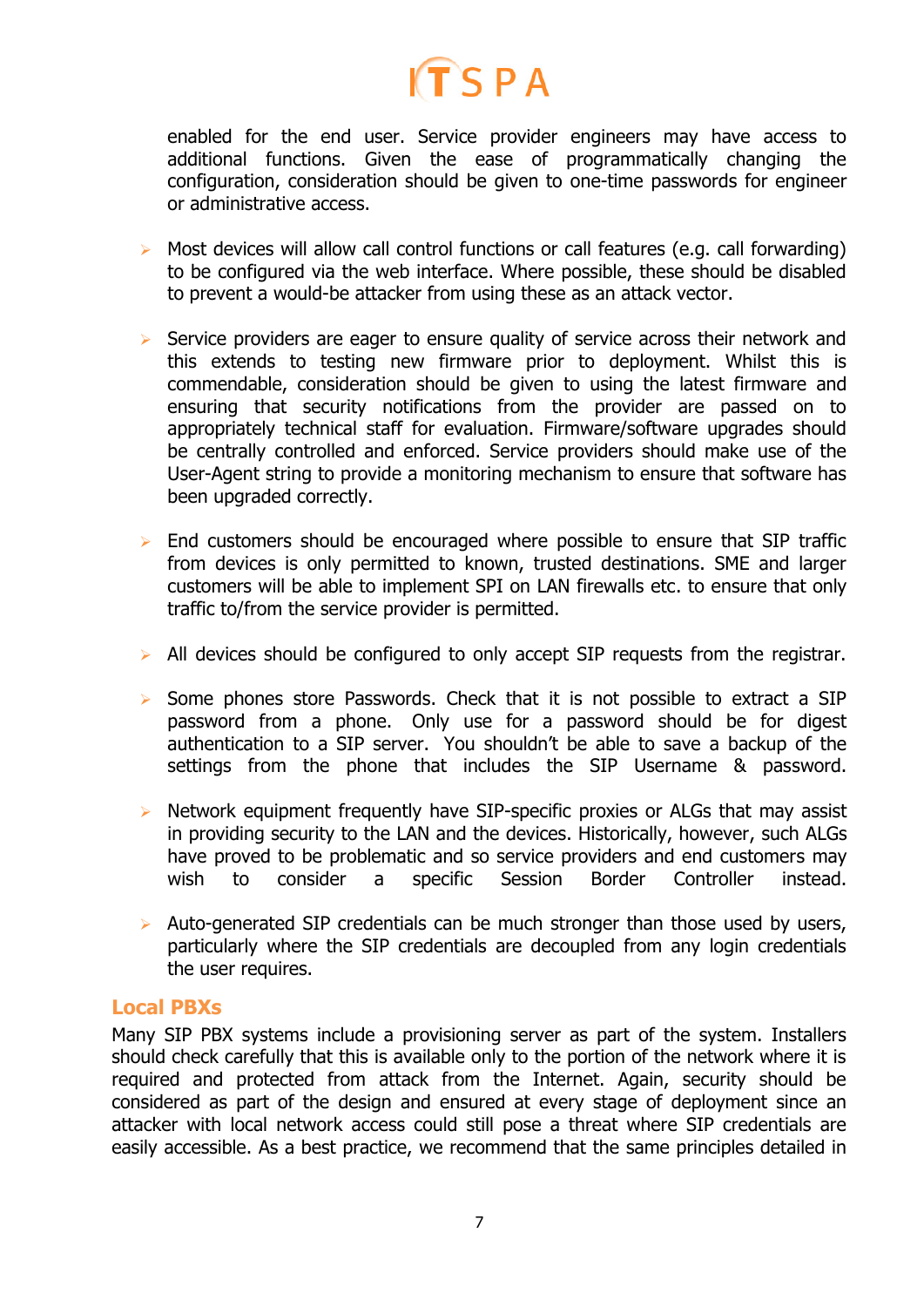# $ITSPA$

enabled for the end user. Service provider engineers may have access to additional functions. Given the ease of programmatically changing the configuration, consideration should be given to one-time passwords for engineer or administrative access.

- $\triangleright$  Most devices will allow call control functions or call features (e.g. call forwarding) to be configured via the web interface. Where possible, these should be disabled to prevent a would-be attacker from using these as an attack vector.
- $\triangleright$  Service providers are eager to ensure quality of service across their network and this extends to testing new firmware prior to deployment. Whilst this is commendable, consideration should be given to using the latest firmware and ensuring that security notifications from the provider are passed on to appropriately technical staff for evaluation. Firmware/software upgrades should be centrally controlled and enforced. Service providers should make use of the User-Agent string to provide a monitoring mechanism to ensure that software has been upgraded correctly.
- $\triangleright$  End customers should be encouraged where possible to ensure that SIP traffic from devices is only permitted to known, trusted destinations. SME and larger customers will be able to implement SPI on LAN firewalls etc. to ensure that only traffic to/from the service provider is permitted.
- $\triangleright$  All devices should be configured to only accept SIP requests from the registrar.
- $\triangleright$  Some phones store Passwords. Check that it is not possible to extract a SIP password from a phone. Only use for a password should be for digest authentication to a SIP server. You shouldn't be able to save a backup of the settings from the phone that includes the SIP Username & password.
- $\triangleright$  Network equipment frequently have SIP-specific proxies or ALGs that may assist in providing security to the LAN and the devices. Historically, however, such ALGs have proved to be problematic and so service providers and end customers may wish to consider a specific Session Border Controller instead.
- $\triangleright$  Auto-generated SIP credentials can be much stronger than those used by users, particularly where the SIP credentials are decoupled from any login credentials the user requires.

#### <span id="page-6-0"></span>**Local PBXs**

Many SIP PBX systems include a provisioning server as part of the system. Installers should check carefully that this is available only to the portion of the network where it is required and protected from attack from the Internet. Again, security should be considered as part of the design and ensured at every stage of deployment since an attacker with local network access could still pose a threat where SIP credentials are easily accessible. As a best practice, we recommend that the same principles detailed in